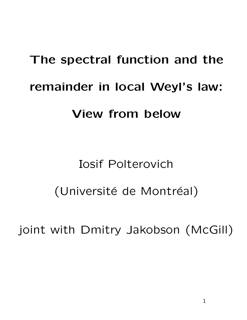# The spectral function and the remainder in local Weyl's law: View from below

## Iosif Polterovich (Université de Montréal)

joint with Dmitry Jakobson (McGill)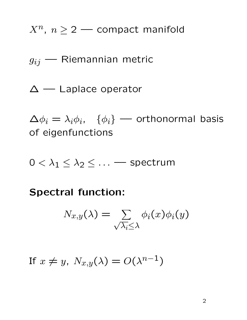$X^n$ ,  $n \geq 2$  — compact manifold

 $g_{ij}$  — Riemannian metric

∆ — Laplace operator

 $\Delta \phi_i = \lambda_i \phi_i$ ,  $\{\phi_i\}$  — orthonormal basis of eigenfunctions

 $0 < \lambda_1 \leq \lambda_2 \leq \ldots$  Spectrum

Spectral function:

$$
N_{x,y}(\lambda) = \sum_{\sqrt{\lambda_i} \leq \lambda} \phi_i(x) \phi_i(y)
$$

If  $x \neq y$ ,  $N_{x,y}(\lambda) = O(\lambda^{n-1})$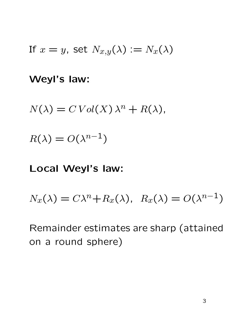If 
$$
x = y
$$
, set  $N_{x,y}(\lambda) := N_x(\lambda)$ 

Weyl's law:

$$
N(\lambda) = C Vol(X) \lambda^{n} + R(\lambda),
$$

$$
R(\lambda) = O(\lambda^{n-1})
$$

### Local Weyl's law:

$$
N_x(\lambda) = C\lambda^n + R_x(\lambda), R_x(\lambda) = O(\lambda^{n-1})
$$

Remainder estimates are sharp (attained on a round sphere)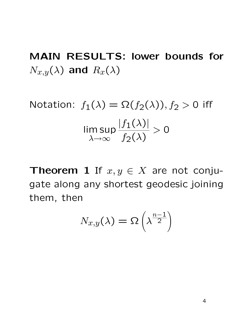MAIN RESULTS: lower bounds for  $N_{x,y}(\lambda)$  and  $R_x(\lambda)$ 

Notation:  $f_1(\lambda) = \Omega(f_2(\lambda)), f_2 > 0$  iff lim sup  $\lambda \rightarrow \infty$  $|f_1(\lambda)|$  $f_2(\lambda)$  $> 0$ 

**Theorem 1** If  $x, y \in X$  are not conjugate along any shortest geodesic joining them, then

$$
N_{x,y}(\lambda) = \Omega\left(\lambda^{\frac{n-1}{2}}\right)
$$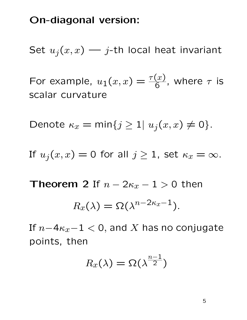#### On-diagonal version:

Set  $u_j(x, x)$  – j-th local heat invariant

For example,  $u_1(x,x) = \frac{\tau(x)}{6}$ , where  $\tau$  is scalar curvature

Denote  $\kappa_x = \min\{j \geq 1 | u_j(x, x) \neq 0\}.$ 

If  $u_j(x, x) = 0$  for all  $j \ge 1$ , set  $\kappa_x = \infty$ .

**Theorem 2** If  $n - 2\kappa_x - 1 > 0$  then

$$
R_x(\lambda) = \Omega(\lambda^{n-2\kappa_x - 1}).
$$

If  $n-4\kappa_x-1 < 0$ , and X has no conjugate points, then

$$
R_x(\lambda)=\Omega(\lambda^{\frac{n-1}{2}})
$$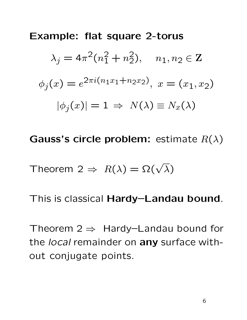Example: flat square 2-torus

$$
\lambda_j = 4\pi^2 (n_1^2 + n_2^2), \quad n_1, n_2 \in \mathbb{Z}
$$
  

$$
\phi_j(x) = e^{2\pi i (n_1 x_1 + n_2 x_2)}, \quad x = (x_1, x_2)
$$
  

$$
|\phi_j(x)| = 1 \Rightarrow N(\lambda) \equiv N_x(\lambda)
$$

Gauss's circle problem: estimate  $R(\lambda)$ 

Theorem 2 
$$
\Rightarrow
$$
  $R(\lambda) = \Omega(\sqrt{\lambda})$ 

This is classical Hardy–Landau bound.

Theorem  $2 \Rightarrow$  Hardy–Landau bound for the local remainder on any surface without conjugate points.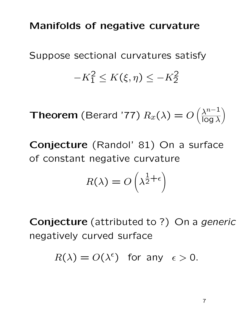## Manifolds of negative curvature

Suppose sectional curvatures satisfy  $-K_1^2 \le K(\xi, \eta) \le -K_2^2$ 

**Theorem** (Berard '77)  $R_x(\lambda) = O\left(\frac{\lambda^{n-1}}{\log \lambda}\right)$  $\overline{\log \lambda}$  $\setminus$ 

Conjecture (Randol' 81) On a surface of constant negative curvature

$$
R(\lambda) = O\left(\lambda^{\frac{1}{2} + \epsilon}\right)
$$

Conjecture (attributed to ?) On a generic negatively curved surface

 $R(\lambda) = O(\lambda^{\epsilon})$  for any  $\epsilon > 0$ .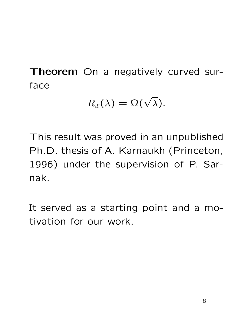Theorem On a negatively curved surface

$$
R_x(\lambda) = \Omega(\sqrt{\lambda}).
$$

This result was proved in an unpublished Ph.D. thesis of A. Karnaukh (Princeton, 1996) under the supervision of P. Sarnak.

It served as a starting point and a motivation for our work.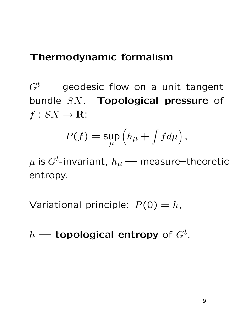## Thermodynamic formalism

 $G<sup>t</sup>$  — geodesic flow on a unit tangent bundle SX. Topological pressure of  $f: SX \rightarrow \mathbf{R}$ :

$$
P(f) = \sup_{\mu} \left( h_{\mu} + \int f d\mu \right),
$$

 $\mu$  is  $G^t$ -invariant,  $h_\mu$  — measure–theoretic entropy.

Variational principle:  $P(0) = h$ ,

 $h$  — topological entropy of  $G^t$ .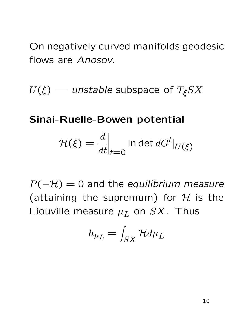On negatively curved manifolds geodesic flows are Anosov.

 $U(\xi)$  — unstable subspace of  $T_{\xi}SX$ 

## Sinai-Ruelle-Bowen potential

$$
\mathcal{H}(\xi) = \frac{d}{dt}\Big|_{t=0} \ln \det dG^t|_{U(\xi)}
$$

 $P(-H) = 0$  and the equilibrium measure (attaining the supremum) for  $H$  is the Liouville measure  $\mu_L$  on  $SX$ . Thus

$$
h_{\mu_L} = \int_{SX} \mathcal{H} d\mu_L
$$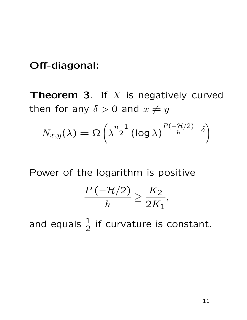## Off-diagonal:

**Theorem 3.** If  $X$  is negatively curved then for any  $\delta > 0$  and  $x \neq y$ 

$$
N_{x,y}(\lambda) = \Omega\left(\lambda^{\frac{n-1}{2}} (\log \lambda)^{\frac{P(-\mathcal{H}/2)}{h} - \delta}\right)
$$

Power of the logarithm is positive

$$
\frac{P\left(-\mathcal{H}/2\right)}{h} \ge \frac{K_2}{2K_1},
$$

and equals  $\frac{1}{2}$  $\overline{2}$ if curvature is constant.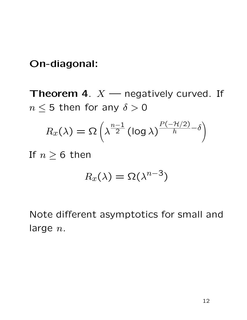## On-diagonal:

**Theorem 4.**  $X$  — negatively curved. If  $n \leq 5$  then for any  $\delta > 0$ 

$$
R_x(\lambda) = \Omega\left(\lambda^{\frac{n-1}{2}} (\log \lambda)^{\frac{P(-\mathcal{H}/2)}{h} - \delta}\right)
$$

If  $n \geq 6$  then

$$
R_x(\lambda) = \Omega(\lambda^{n-3})
$$

Note different asymptotics for small and large  $n$ .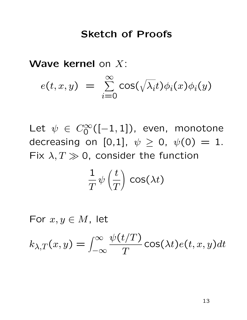#### Sketch of Proofs

Wave kernel on X:

$$
e(t, x, y) = \sum_{i=0}^{\infty} \cos(\sqrt{\lambda_i}t) \phi_i(x) \phi_i(y)
$$

Let  $\psi \in C_0^\infty([-1,1])$ , even, monotone decreasing on [0,1],  $\psi \ge 0$ ,  $\psi(0) = 1$ . Fix  $\lambda, T \gg 0$ , consider the function

$$
\frac{1}{T}\psi\left(\frac{t}{T}\right)\, \text{cos}(\lambda t)
$$

For  $x, y \in M$ , let

 $k_{\lambda,T}(x,y) = \int_{-\infty}^{\infty}$  $-\infty$  $\psi(t/T)$  $\overline{T}$  $\mathsf{cos}(\lambda t)e(t,x,y)dt$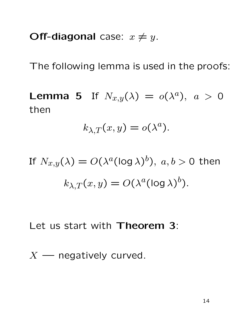Off-diagonal case:  $x \neq y$ .

The following lemma is used in the proofs:

**Lemma 5** If  $N_{x,y}(\lambda) = o(\lambda^a)$ ,  $a > 0$ then

$$
k_{\lambda,T}(x,y)=o(\lambda^a).
$$

If 
$$
N_{x,y}(\lambda) = O(\lambda^a (\log \lambda)^b)
$$
,  $a, b > 0$  then  

$$
k_{\lambda,T}(x,y) = O(\lambda^a (\log \lambda)^b).
$$

Let us start with Theorem 3:

 $X$  — negatively curved.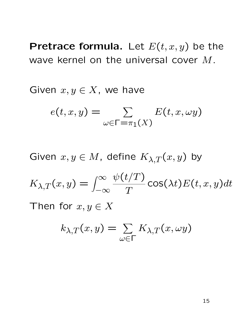Pretrace formula. Let  $E(t, x, y)$  be the wave kernel on the universal cover M.

Given  $x, y \in X$ , we have

$$
e(t, x, y) = \sum_{\omega \in \Gamma = \pi_1(X)} E(t, x, \omega y)
$$

Given  $x, y \in M$ , define  $K_{\lambda, T}(x, y)$  by

$$
K_{\lambda,T}(x,y) = \int_{-\infty}^{\infty} \frac{\psi(t/T)}{T} \cos(\lambda t) E(t,x,y) dt
$$

Then for  $x, y \in X$ 

$$
k_{\lambda,T}(x,y)=\sum_{\omega\in\Gamma}K_{\lambda,T}(x,\omega y)
$$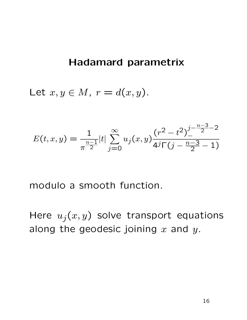#### Hadamard parametrix

Let  $x, y \in M$ ,  $r = d(x, y)$ .

$$
E(t, x, y) = \frac{1}{\pi^{\frac{n-1}{2}}}|t| \sum_{j=0}^{\infty} u_j(x, y) \frac{(r^2 - t^2)^{\frac{j - \frac{n-3}{2} - 2}{2}}}{4^j \Gamma(j - \frac{n-3}{2} - 1)}
$$

modulo a smooth function.

Here  $u_j(x, y)$  solve transport equations along the geodesic joining  $x$  and  $y$ .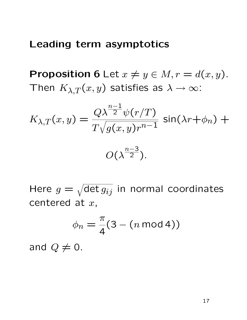#### Leading term asymptotics

**Proposition 6** Let  $x \neq y \in M, r = d(x, y)$ . Then  $K_{\lambda,T}(x,y)$  satisfies as  $\lambda \to \infty$ :

$$
K_{\lambda,T}(x,y) = \frac{Q\lambda^{\frac{n-1}{2}}\psi(r/T)}{T\sqrt{g(x,y)r^{n-1}}} \sin(\lambda r + \phi_n) + O(\lambda^{\frac{n-3}{2}}).
$$

Here  $g = \sqrt{\det g_{ij}}$  in normal coordinates centered at  $x$ ,

$$
\phi_n = \frac{\pi}{4}(3 - (n \mod 4))
$$

and  $Q \neq 0$ .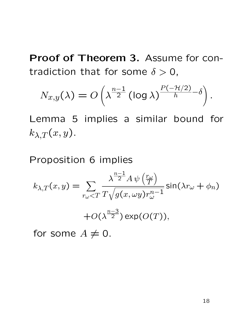Proof of Theorem 3. Assume for contradiction that for some  $\delta > 0$ ,

$$
N_{x,y}(\lambda) = O\left(\lambda^{\frac{n-1}{2}} (\log \lambda)^{\frac{P(-\mathcal{H}/2)}{h} - \delta}\right)
$$

Lemma 5 implies a similar bound for  $k_{\lambda,T}(x,y).$ 

Proposition 6 implies

$$
k_{\lambda,T}(x,y) = \sum_{r_{\omega} < T} \frac{\lambda^{\frac{n-1}{2}} A \psi\left(\frac{r_{\omega}}{T}\right)}{T \sqrt{g(x,\omega y) r_{\omega}^{n-1}}} \sin(\lambda r_{\omega} + \phi_n)
$$
\n
$$
+ O(\lambda^{\frac{n-3}{2}}) \exp(O(T)),
$$

for some  $A \neq 0$ .

.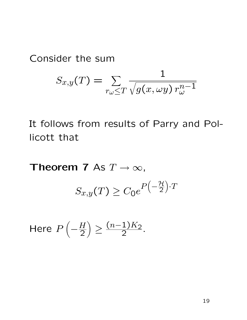Consider the sum

$$
S_{x,y}(T) = \sum_{r_{\omega} \leq T} \frac{1}{\sqrt{g(x,\omega y) r_{\omega}^{n-1}}}
$$

It follows from results of Parry and Pollicott that

Theorem 7 As  $T \to \infty$ ,  $S_{x,y}(T) \geq C_0 e$  $P\left(-\frac{\mathcal{H}}{2}\right)$  $).T$ 

Here 
$$
P\left(-\frac{H}{2}\right) \ge \frac{(n-1)K_2}{2}
$$
.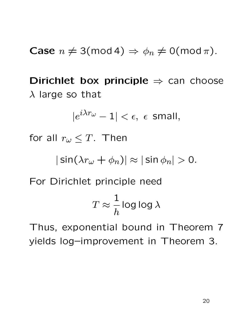Case 
$$
n \neq 3 \pmod{4} \Rightarrow \phi_n \neq 0 \pmod{\pi}
$$
.

Dirichlet box principle  $\Rightarrow$  can choose  $\lambda$  large so that

$$
|e^{i\lambda r_\omega}-1|<\epsilon, \ \epsilon \ \ \text{small},
$$

for all  $r_\omega \leq T$ . Then

$$
|\sin(\lambda r_\omega+\phi_n)|\approx|\sin\phi_n|>0.
$$

For Dirichlet principle need

$$
T \approx \frac{1}{h} \log \log \lambda
$$

Thus, exponential bound in Theorem 7 yields log–improvement in Theorem 3.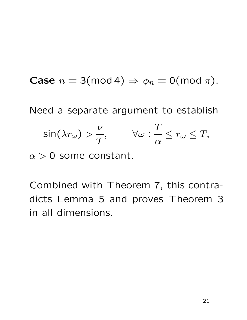**Case**  $n = 3 \pmod{4} \Rightarrow \phi_n = 0 \pmod{\pi}$ . Need a separate argument to establish  $\mathsf{sin}(\lambda r_\omega) >$  $\overline{\nu}$  $\overline{T}$ ,  $\forall \omega$  :  $\overline{T}$  $\alpha$  $\leq r_\omega \leq T$ ,

 $\alpha > 0$  some constant.

Combined with Theorem 7, this contradicts Lemma 5 and proves Theorem 3 in all dimensions.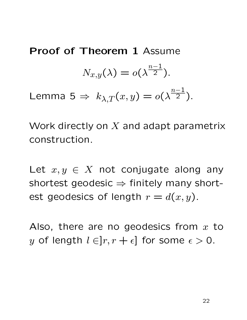Proof of Theorem 1 Assume  $N_{x,y}(\lambda)=o(\lambda)$  $n-1$  $\overline{2}$ ). Lemma 5  $\Rightarrow k_{\lambda,T}(x,y) = o(\lambda)$  $n-1$  $\overline{2}$ ).

Work directly on  $X$  and adapt parametrix construction.

Let  $x, y \in X$  not conjugate along any shortest geodesic  $\Rightarrow$  finitely many shortest geodesics of length  $r = d(x, y)$ .

Also, there are no geodesics from  $x$  to y of length  $l \in ]r, r + \epsilon]$  for some  $\epsilon > 0$ .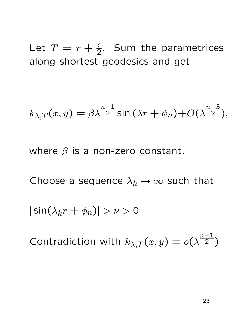Let  $T = r + \frac{\epsilon}{2}$ . Sum the parametrices along shortest geodesics and get

$$
k_{\lambda,T}(x,y) = \beta \lambda^{\frac{n-1}{2}} \sin(\lambda r + \phi_n) + O(\lambda^{\frac{n-3}{2}}),
$$

where  $\beta$  is a non-zero constant.

Choose a sequence  $\lambda_k \to \infty$  such that

 $|\sin(\lambda_k r + \phi_n)| > \nu > 0$ 

Contradiction with  $k_{\lambda,T}(x,y) = o(\lambda)$  $n-1$  $\overline{2}$ )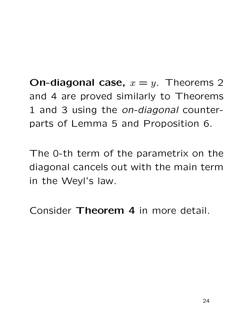**On-diagonal case,**  $x = y$ . Theorems 2 and 4 are proved similarly to Theorems 1 and 3 using the *on-diagonal* counterparts of Lemma 5 and Proposition 6.

The 0-th term of the parametrix on the diagonal cancels out with the main term in the Weyl's law.

Consider Theorem 4 in more detail.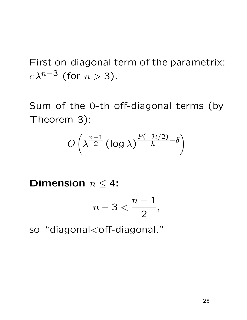First on-diagonal term of the parametrix:  $c \lambda^{n-3}$  (for  $n > 3$ ).

Sum of the 0-th off-diagonal terms (by Theorem 3):

$$
O\left(\lambda^{\frac{n-1}{2}}\left(\log\lambda\right)^{\frac{P(-\mathcal{H}/2)}{h}-\delta}\right)
$$

Dimension  $n \leq 4$ :

$$
n-3<\frac{n-1}{2},
$$

so "diagonal<off-diagonal."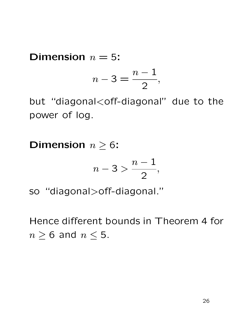#### **Dimension**  $n = 5$ :

$$
n-3=\frac{n-1}{2},
$$

but "diagonal<off-diagonal" due to the power of log.

**Dimension**  $n \geq 6$ :

$$
n-3>\frac{n-1}{2},
$$

so "diagonal>off-diagonal."

Hence different bounds in Theorem 4 for  $n \geq 6$  and  $n \leq 5$ .